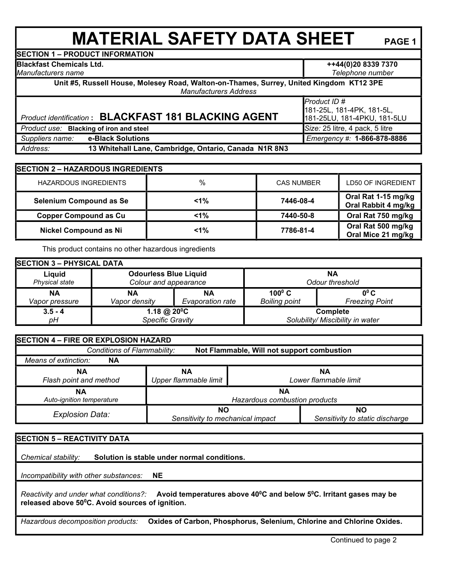## **MATERIAL SAFETY DATA SHEET** PAGE 1

**SECTION 1 – PRODUCT INFORMATION**

**Blackfast Chemicals Ltd.** 

*Manufacturers name*

**++44(0)20 8339 7370** 

*Telephone number* **Unit #5, Russell House, Molesey Road, Walton-on-Thames, Surrey, United Kingdom KT12 3PE** 

*Manufacturers Address*

## *Product identification* **: BLACKFAST 181 BLACKING AGENT**

*Product ID #*  181-25L, 181-4PK, 181-5L, 181-25LU, 181-4PKU, 181-5LU *Product use:* **Blacking of iron and steel <b>Size:** 25 litre, 4 pack, 5 litre

 *Suppliers name:* **e-Black Solutions** *Emergency #:* **1-866-878-8886**

 *Address:* **13 Whitehall Lane, Cambridge, Ontario, Canada N1R 8N3**

| <b>SECTION 2 - HAZARDOUS INGREDIENTS</b> |         |                   |                                            |  |  |  |
|------------------------------------------|---------|-------------------|--------------------------------------------|--|--|--|
| <b>HAZARDOUS INGREDIENTS</b>             | %       | <b>CAS NUMBER</b> | LD50 OF INGREDIENT                         |  |  |  |
| Selenium Compound as Se                  | $< 1\%$ | 7446-08-4         | Oral Rat 1-15 mg/kg<br>Oral Rabbit 4 mg/kg |  |  |  |
| <b>Copper Compound as Cu</b>             | $< 1\%$ | 7440-50-8         | Oral Rat 750 mg/kg                         |  |  |  |
| <b>Nickel Compound as Ni</b>             | $< 1\%$ | 7786-81-4         | Oral Rat 500 mg/kg<br>Oral Mice 21 mg/kg   |  |  |  |

This product contains no other hazardous ingredients

| <b>SECTION 3 - PHYSICAL DATA</b> |                                                       |                  |                                  |                       |  |  |  |
|----------------------------------|-------------------------------------------------------|------------------|----------------------------------|-----------------------|--|--|--|
| Liquid<br>Physical state         | <b>Odourless Blue Liquid</b><br>Colour and appearance |                  | ΝA<br><b>Odour threshold</b>     |                       |  |  |  |
| ΝA                               | NΑ                                                    | NΑ               | $100^{\circ}$ C                  | $0^0C$                |  |  |  |
| Vapor pressure                   | Vapor density                                         | Evaporation rate | <b>Boiling point</b>             | <b>Freezing Point</b> |  |  |  |
| $3.5 - 4$                        | 1.18 @ $20^{\circ}$ C                                 |                  | Complete                         |                       |  |  |  |
| рH                               | Specific Gravity                                      |                  | Solubility/ Miscibility in water |                       |  |  |  |

| SECTION 4 - FIRE OR EXPLOSION HAZARD                                      |                                  |    |                                 |  |  |  |
|---------------------------------------------------------------------------|----------------------------------|----|---------------------------------|--|--|--|
| Conditions of Flammability:<br>Not Flammable, Will not support combustion |                                  |    |                                 |  |  |  |
| Means of extinction:<br><b>NA</b>                                         |                                  |    |                                 |  |  |  |
| <b>NA</b>                                                                 | <b>NA</b>                        | NΑ |                                 |  |  |  |
| Flash point and method                                                    | Upper flammable limit            |    | Lower flammable limit           |  |  |  |
| NΑ                                                                        | ΝA                               |    |                                 |  |  |  |
| Auto-ignition temperature                                                 | Hazardous combustion products    |    |                                 |  |  |  |
| <b>Explosion Data:</b>                                                    | <b>NO</b>                        |    | <b>NO</b>                       |  |  |  |
|                                                                           | Sensitivity to mechanical impact |    | Sensitivity to static discharge |  |  |  |

## **SECTION 5 – REACTIVITY DATA**

 *Chemical stability:* **Solution is stable under normal conditions.**

 *Incompatibility with other substances:* **NE**

 *Reactivity and under what conditions?:* **Avoid temperatures above 40<sup>0</sup>C and below 5<sup>0</sup>C. Irritant gases may be released above 50<sup>0</sup>C. Avoid sources of ignition.** 

 *Hazardous decomposition products:* **Oxides of Carbon, Phosphorus, Selenium, Chlorine and Chlorine Oxides.**